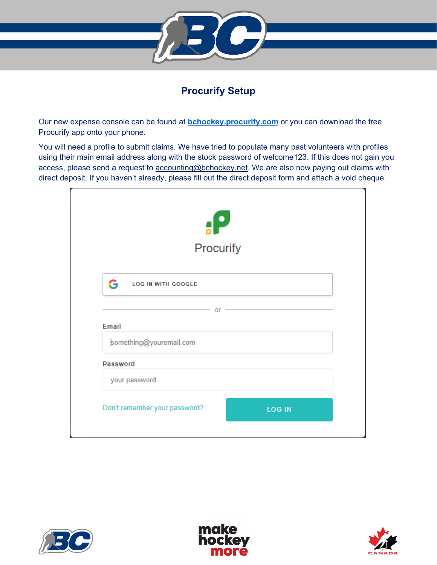

## **Procurify Setup**

Our new expense console can be found at **bchockey.procurify.com** or you can download the free Procurify app onto your phone.

You will need a profile to submit claims. We have tried to populate many past volunteers with profiles using their main email address along with the stock password of welcome123. If this does not gain you access, please send a request to **accounting@bchockey.net**. We are also now paying out claims with direct deposit. If you haven't already, please fill out the direct deposit form and attach a void cheque.

| <u>م.</u><br>Procurify        |               |  |
|-------------------------------|---------------|--|
|                               |               |  |
| or                            |               |  |
| Email                         |               |  |
| something@youremail.com       |               |  |
| <b>Password</b>               |               |  |
| your password                 |               |  |
| Don't remember your password? | <b>LOG IN</b> |  |
|                               |               |  |